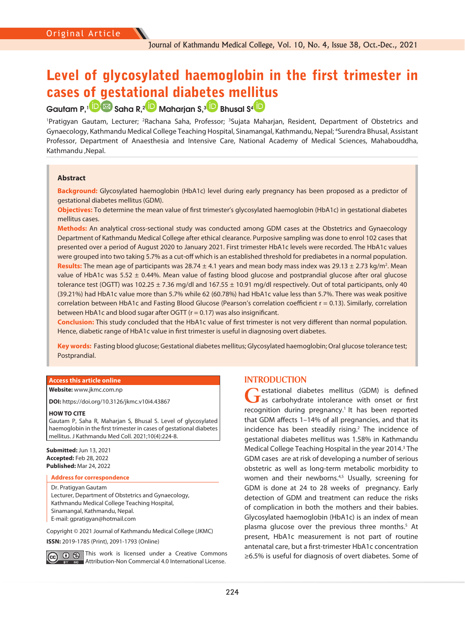# Level of glycosylated haemoglobin in the first trimester in cases of gestational diabetes mel[litu](https://orcid.org/0000-0002-7405-0057)s

## GautamP,<sup>1</sup> **D** Saha R,<sup>2</sup> **D** Maharjan S,<sup>[3](https://orcid.org/0000-0003-1858-9370)</sup> Bhusal S<sup>4</sup> B

<sup>1</sup>Pratigyan Gautam, Lecturer; <sup>2</sup>Rachana Saha, Professor; <sup>3</sup>Sujata Maharjan, Resident, Department of Obstetrics and Gynaecology, Kathmandu Medical College Teaching Hospital, Sinamangal, Kathmandu, Nepal; 4 Surendra Bhusal, Assistant Professor, Department of Anaesthesia and Intensive Care, National Academy of Medical Sciences, Mahabouddha, Kathmandu ,Nepal.

## **Abstract**

**Background:** Glycosylated haemoglobin (HbA1c) level during early pregnancy has been proposed as a predictor of gestational diabetes mellitus (GDM).

**Objectives:** To determine the mean value of first trimester's glycosylated haemoglobin (HbA1c) in gestational diabetes mellitus cases.

**Methods:** An analytical cross-sectional study was conducted among GDM cases at the Obstetrics and Gynaecology Department of Kathmandu Medical College after ethical clearance. Purposive sampling was done to enrol 102 cases that presented over a period of August 2020 to January 2021. First trimester HbA1c levels were recorded. The HbA1c values were grouped into two taking 5.7% as a cut-off which is an established threshold for prediabetes in a normal population. Results: The mean age of participants was 28.74 ± 4.1 years and mean body mass index was 29.13 ± 2.73 kg/m<sup>2</sup>. Mean value of HbA1c was 5.52 ± 0.44%. Mean value of fasting blood glucose and postprandial glucose after oral glucose tolerance test (OGTT) was 102.25  $\pm$  7.36 mg/dl and 167.55  $\pm$  10.91 mg/dl respectively. Out of total participants, only 40 (39.21%) had HbA1c value more than 5.7% while 62 (60.78%) had HbA1c value less than 5.7%. There was weak positive correlation between HbA1c and Fasting Blood Glucose (Pearson's correlation coefficient r = 0.13). Similarly, correlation between HbA1c and blood sugar after OGTT (r = 0.17) was also insignificant.

**Conclusion:** This study concluded that the HbA1c value of first trimester is not very different than normal population. Hence, diabetic range of HbA1c value in first trimester is useful in diagnosing overt diabetes.

**Key words:** Fasting blood glucose; Gestational diabetes mellitus; Glycosylated haemoglobin; Oral glucose tolerance test; Postprandial.

## **Access this article online**

**Website:** [www.jkmc.com.np](http://www.jkmc.com.np)

**DOI:** https://doi.org/10.3126/jkmc.v10i4.43867

#### **HOW TO CITE**

Gautam P, Saha R, Maharjan S, Bhusal S. Level of glycosylated haemoglobin in the first trimester in cases of gestational diabetes mellitus. J Kathmandu Med Coll. 2021;10(4):224-8.

**Submitted:** Jun 13, 2021 **Accepted:** Feb 28, 2022 **Published:** Mar 24, 2022

#### **Address for correspondence**

Dr. Pratigyan Gautam Lecturer, Department of Obstetrics and Gynaecology, Kathmandu Medical College Teaching Hospital, Sinamangal, Kathmandu, Nepal. E-mail: gpratigyan@hotmail.com

Copyright © 2021 Journal of Kathmandu Medical College (JKMC) **ISSN:** 2019-1785 (Print), 2091-1793 (Online)

**O** S This work is licensed under a Creative Commons **EY NG** Attribution-Non Commercial 4.0 International License.

## **INTRODUCTION**

GBM) is defined<br> **G** as carbohydrate intolerance with onset or first recognition during pregnancy.<sup>1</sup> It has been reported that GDM affects 1–14% of all pregnancies, and that its incidence has been steadily rising.<sup>2</sup> The incidence of gestational diabetes mellitus was 1.58% in Kathmandu Medical College Teaching Hospital in the year 2014.<sup>3</sup> The GDM cases are at risk of developing a number of serious obstetric as well as long-term metabolic morbidity to women and their newborns.<sup>4,5</sup> Usually, screening for GDM is done at 24 to 28 weeks of pregnancy. Early detection of GDM and treatment can reduce the risks of complication in both the mothers and their babies. Glycosylated haemoglobin (HbA1c) is an index of mean plasma glucose over the previous three months.<sup>5</sup> At present, HbA1c measurement is not part of routine antenatal care, but a first-trimester HbA1c concentration ≥6.5% is useful for diagnosis of overt diabetes. Some of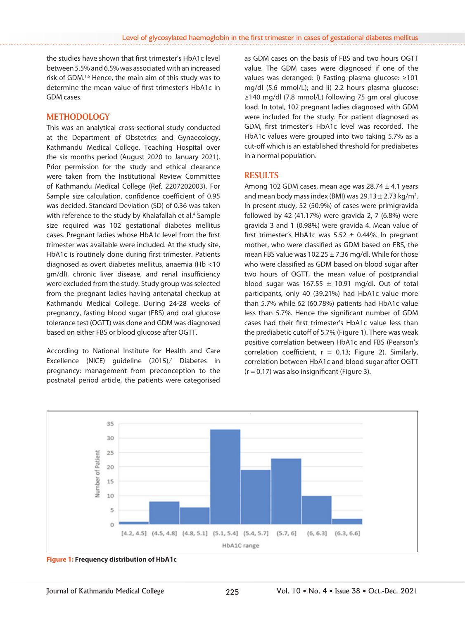the studies have shown that first trimester's HbA1c level between 5.5% and 6.5% was associated with an increased risk of GDM.1,6 Hence, the main aim of this study was to determine the mean value of first trimester's HbA1c in GDM cases.

## **METHODOLOGY**

This was an analytical cross-sectional study conducted at the Department of Obstetrics and Gynaecology, Kathmandu Medical College, Teaching Hospital over the six months period (August 2020 to January 2021). Prior permission for the study and ethical clearance were taken from the Institutional Review Committee of Kathmandu Medical College (Ref. 2207202003). For Sample size calculation, confidence coefficient of 0.95 was decided. Standard Deviation (SD) of 0.36 was taken with reference to the study by Khalafallah et al.<sup>4</sup> Sample size required was 102 gestational diabetes mellitus cases. Pregnant ladies whose HbA1c level from the first trimester was available were included. At the study site, HbA1c is routinely done during first trimester. Patients diagnosed as overt diabetes mellitus, anaemia (Hb <10 gm/dl), chronic liver disease, and renal insufficiency were excluded from the study. Study group was selected from the pregnant ladies having antenatal checkup at Kathmandu Medical College. During 24-28 weeks of pregnancy, fasting blood sugar (FBS) and oral glucose tolerance test (OGTT) was done and GDM was diagnosed based on either FBS or blood glucose after OGTT.

According to National Institute for Health and Care Excellence (NICE) guideline (2015),<sup>7</sup> Diabetes in pregnancy: management from preconception to the postnatal period article, the patients were categorised

as GDM cases on the basis of FBS and two hours OGTT value. The GDM cases were diagnosed if one of the values was deranged: i) Fasting plasma glucose: ≥101 mg/dl (5.6 mmol/L); and ii) 2.2 hours plasma glucose: ≥140 mg/dl (7.8 mmol/L) following 75 gm oral glucose load. In total, 102 pregnant ladies diagnosed with GDM were included for the study. For patient diagnosed as GDM, first trimester's HbA1c level was recorded. The HbA1c values were grouped into two taking 5.7% as a cut-off which is an established threshold for prediabetes in a normal population.

## **RESULTS**

Among 102 GDM cases, mean age was  $28.74 \pm 4.1$  years and mean body mass index (BMI) was  $29.13 \pm 2.73$  kg/m<sup>2</sup>. In present study, 52 (50.9%) of cases were primigravida followed by 42 (41.17%) were gravida 2, 7 (6.8%) were gravida 3 and 1 (0.98%) were gravida 4. Mean value of first trimester's HbA1c was  $5.52 \pm 0.44\%$ . In pregnant mother, who were classified as GDM based on FBS, the mean FBS value was  $102.25 \pm 7.36$  mg/dl. While for those who were classified as GDM based on blood sugar after two hours of OGTT, the mean value of postprandial blood sugar was  $167.55 \pm 10.91$  mg/dl. Out of total participants, only 40 (39.21%) had HbA1c value more than 5.7% while 62 (60.78%) patients had HbA1c value less than 5.7%. Hence the significant number of GDM cases had their first trimester's HbA1c value less than the prediabetic cutoff of 5.7% (Figure 1). There was weak positive correlation between HbA1c and FBS (Pearson's correlation coefficient,  $r = 0.13$ ; Figure 2). Similarly, correlation between HbA1c and blood sugar after OGTT  $(r = 0.17)$  was also insignificant (Figure 3).



**Figure 1: Frequency distribution of HbA1c**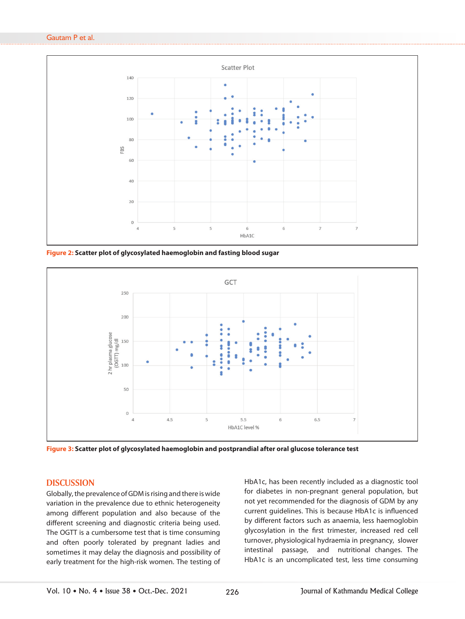#### Gautam P et al.



**Figure 2: Scatter plot of glycosylated haemoglobin and fasting blood sugar**



**Figure 3: Scatter plot of glycosylated haemoglobin and postprandial after oral glucose tolerance test**

## **DISCUSSION**

Globally, the prevalence of GDM is rising and there is wide variation in the prevalence due to ethnic heterogeneity among different population and also because of the different screening and diagnostic criteria being used. The OGTT is a cumbersome test that is time consuming and often poorly tolerated by pregnant ladies and sometimes it may delay the diagnosis and possibility of early treatment for the high-risk women. The testing of HbA1c, has been recently included as a diagnostic tool for diabetes in non-pregnant general population, but not yet recommended for the diagnosis of GDM by any current guidelines. This is because HbA1c is influenced by different factors such as anaemia, less haemoglobin glycosylation in the first trimester, increased red cell turnover, physiological hydraemia in pregnancy, slower intestinal passage, and nutritional changes. The HbA1c is an uncomplicated test, less time consuming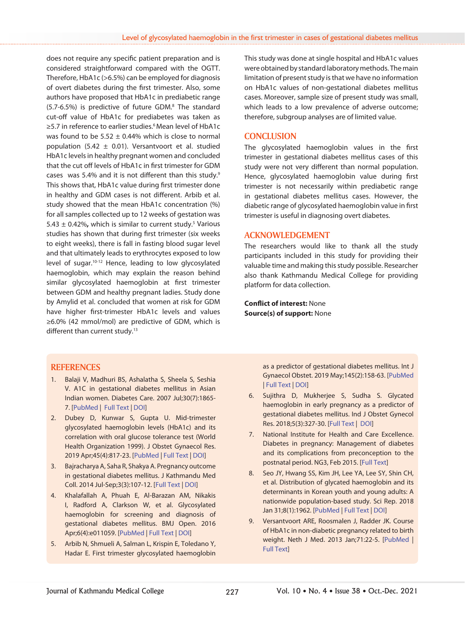does not require any specific patient preparation and is considered straightforward compared with the OGTT. Therefore, HbA1c (>6.5%) can be employed for diagnosis of overt diabetes during the first trimester. Also, some authors have proposed that HbA1c in prediabetic range (5.7-6.5%) is predictive of future GDM.8 The standard cut-off value of HbA1c for prediabetes was taken as ≥5.7 in reference to earlier studies.<sup>6</sup> Mean level of HbA1c was found to be  $5.52 \pm 0.44\%$  which is close to normal population (5.42  $\pm$  0.01). Versantvoort et al. studied HbA1c levels in healthy pregnant women and concluded that the cut off levels of HbA1c in first trimester for GDM cases was 5.4% and it is not different than this study.9 This shows that, HbA1c value during first trimester done in healthy and GDM cases is not different. Arbib et al. study showed that the mean HbA1c concentration (%) for all samples collected up to 12 weeks of gestation was  $5.43 \pm 0.42\%$ , which is similar to current study.<sup>5</sup> Various studies has shown that during first trimester (six weeks to eight weeks), there is fall in fasting blood sugar level and that ultimately leads to erythrocytes exposed to low level of sugar.10-12 Hence, leading to low glycosylated haemoglobin, which may explain the reason behind similar glycosylated haemoglobin at first trimester between GDM and healthy pregnant ladies. Study done by Amylid et al. concluded that women at risk for GDM have higher first-trimester HbA1c levels and values ≥6.0% (42 mmol/mol) are predictive of GDM, which is different than current study.<sup>13</sup>

This study was done at single hospital and HbA1c values were obtained by standard laboratory methods. The main limitation of present study is that we have no information on HbA1c values of non-gestational diabetes mellitus cases. Moreover, sample size of present study was small, which leads to a low prevalence of adverse outcome; therefore, subgroup analyses are of limited value.

## **CONCLUSION**

The glycosylated haemoglobin values in the first trimester in gestational diabetes mellitus cases of this study were not very different than normal population. Hence, glycosylated haemoglobin value during first trimester is not necessarily within prediabetic range in gestational diabetes mellitus cases. However, the diabetic range of glycosylated haemoglobin value in first trimester is useful in diagnosing overt diabetes.

### **ACKNOWLEDGEMENT**

The researchers would like to thank all the study participants included in this study for providing their valuable time and making this study possible. Researcher also thank Kathmandu Medical College for providing platform for data collection.

**Conflict of interest:** None **Source(s) of support:** None

## **REFERENCES**

- 1. Balaji V, Madhuri BS, Ashalatha S, Sheela S, Seshia V. A1C in gestational diabetes mellitus in Asian Indian women. Diabetes Care. 2007 Jul;30(7):1865- 7. [\[PubMed](https://pubmed.ncbi.nlm.nih.gov/17416790/) | Full Text | [DOI\]](https://doi.org/10.2337/dc06-2329)
- 2. Dubey D, Kunwar S, Gupta U. Mid-trimester glycosylated haemoglobin levels (HbA1c) and its correlation with oral glucose tolerance test (World Health Organization 1999). J Obstet Gynaecol Res. 2019 Apr;45(4):817-23. [\[PubMed](https://pubmed.ncbi.nlm.nih.gov/30618078/) | [Full Text](https://obgyn.onlinelibrary.wiley.com/doi/10.1111/jog.13916) | [DOI\]](https://doi.org/10.1111/jog.13916)
- 3. Bajracharya A, Saha R, Shakya A. Pregnancy outcome in gestational diabetes mellitus. J Kathmandu Med Coll. 2014 Jul-Sep;3(3):107-12. [\[Full Text](https://jkmc.com.np/ojs3/index.php/journal/article/view/719/705) | [DOI](https://doi.org/10.3126/jkmc.v3i3.12246)]
- 4. Khalafallah A, Phuah E, Al-Barazan AM, Nikakis I, Radford A, Clarkson W, et al. Glycosylated haemoglobin for screening and diagnosis of gestational diabetes mellitus. BMJ Open. 2016 Apr;6(4):e011059. [\[PubMed](https://pubmed.ncbi.nlm.nih.gov/27044587/) | [Full Text](https://bmjopen.bmj.com/content/6/4/e011059.long) | [DOI\]](https://doi.org/10.1136/bmjopen-2016-011059)
- 5. Arbib N, Shmueli A, Salman L, Krispin E, Toledano Y, Hadar E. First trimester glycosylated haemoglobin

as a predictor of gestational diabetes mellitus. Int J Gynaecol Obstet. 2019 May;145(2):158-63. [\[PubMed](https://pubmed.ncbi.nlm.nih.gov/30791100/) | [Full Text](https://obgyn.onlinelibrary.wiley.com/doi/10.1002/ijgo.12794) | [DOI\]](https://doi.org/10.1002/ijgo.12794)

- 6. Sujithra D, Mukherjee S, Sudha S. Glycated haemoglobin in early pregnancy as a predictor of gestational diabetes mellitus. Ind J Obstet Gynecol Res. 2018;5(3):327-30. [\[Full Text](https://www.ijogr.org/article-details/7314) | [DOI](https://doi.org/10.18231/2394-2754.2018.0075)]
- 7. National Institute for Health and Care Excellence. Diabetes in pregnancy: Management of diabetes and its complications from preconception to the postnatal period. NG3, Feb 2015. [\[Full Text](https://www.nice.org.uk/guidance/ng3)]
- 8. Seo JY, Hwang SS, Kim JH, Lee YA, Lee SY, Shin CH, et al. Distribution of glycated haemoglobin and its determinants in Korean youth and young adults: A nationwide population-based study. Sci Rep. 2018 Jan 31;8(1):1962. [[PubMed](https://pubmed.ncbi.nlm.nih.gov/29386645/) | [Full Text](https://www.nature.com/articles/s41598-018-20274-8) | [DOI](https://doi.org/10.1038/s41598-018-20274-8)]
- 9. Versantvoort ARE, Roosmalen J, Radder JK. Course of HbA1c in non-diabetic pregnancy related to birth weight. Neth J Med. 2013 Jan;71:22-5. [[PubMed](https://pubmed.ncbi.nlm.nih.gov/23412819/) | [Full Text\]](https://www.njmonline.nl/getpdf.php?id=1258)